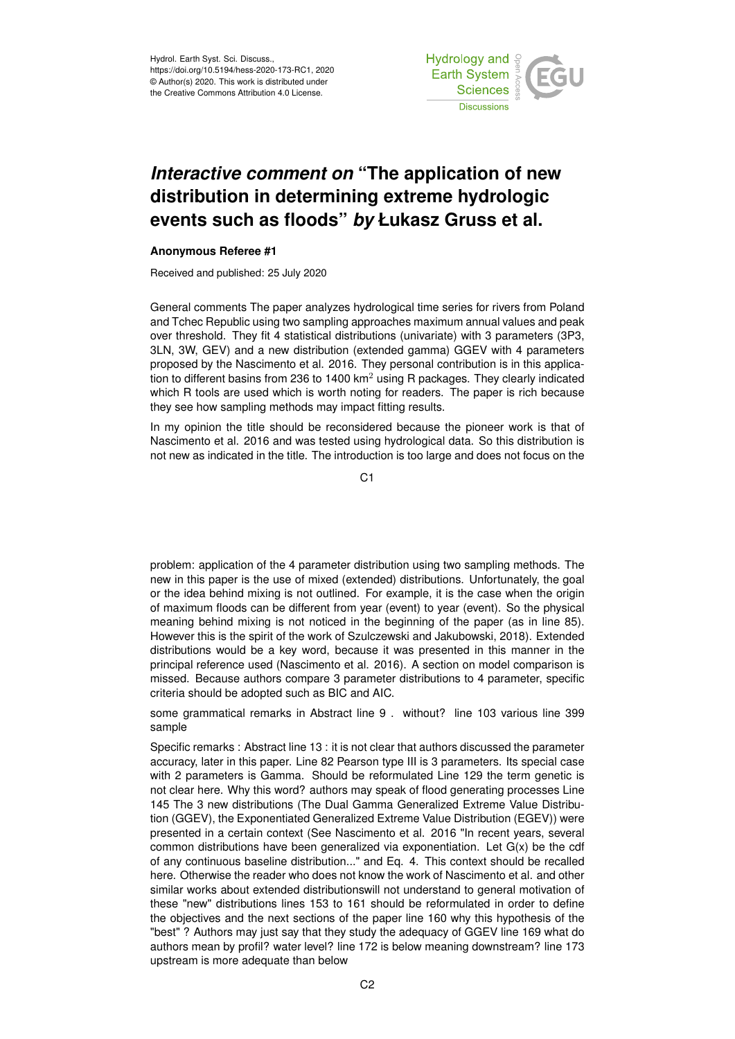Hydrol. Earth Syst. Sci. Discuss., https://doi.org/10.5194/hess-2020-173-RC1, 2020 © Author(s) 2020. This work is distributed under the Creative Commons Attribution 4.0 License.



## *Interactive comment on* **"The application of new distribution in determining extreme hydrologic events such as floods"** *by* **Łukasz Gruss et al.**

## **Anonymous Referee #1**

Received and published: 25 July 2020

General comments The paper analyzes hydrological time series for rivers from Poland and Tchec Republic using two sampling approaches maximum annual values and peak over threshold. They fit 4 statistical distributions (univariate) with 3 parameters (3P3, 3LN, 3W, GEV) and a new distribution (extended gamma) GGEV with 4 parameters proposed by the Nascimento et al. 2016. They personal contribution is in this application to different basins from 236 to 1400  $km<sup>2</sup>$  using R packages. They clearly indicated which R tools are used which is worth noting for readers. The paper is rich because they see how sampling methods may impact fitting results.

In my opinion the title should be reconsidered because the pioneer work is that of Nascimento et al. 2016 and was tested using hydrological data. So this distribution is not new as indicated in the title. The introduction is too large and does not focus on the

C1

problem: application of the 4 parameter distribution using two sampling methods. The new in this paper is the use of mixed (extended) distributions. Unfortunately, the goal or the idea behind mixing is not outlined. For example, it is the case when the origin of maximum floods can be different from year (event) to year (event). So the physical meaning behind mixing is not noticed in the beginning of the paper (as in line 85). However this is the spirit of the work of Szulczewski and Jakubowski, 2018). Extended distributions would be a key word, because it was presented in this manner in the principal reference used (Nascimento et al. 2016). A section on model comparison is missed. Because authors compare 3 parameter distributions to 4 parameter, specific criteria should be adopted such as BIC and AIC.

some grammatical remarks in Abstract line 9 . without? line 103 various line 399 sample

Specific remarks : Abstract line 13 : it is not clear that authors discussed the parameter accuracy, later in this paper. Line 82 Pearson type III is 3 parameters. Its special case with 2 parameters is Gamma. Should be reformulated Line 129 the term genetic is not clear here. Why this word? authors may speak of flood generating processes Line 145 The 3 new distributions (The Dual Gamma Generalized Extreme Value Distribution (GGEV), the Exponentiated Generalized Extreme Value Distribution (EGEV)) were presented in a certain context (See Nascimento et al. 2016 "In recent years, several common distributions have been generalized via exponentiation. Let G(x) be the cdf of any continuous baseline distribution..." and Eq. 4. This context should be recalled here. Otherwise the reader who does not know the work of Nascimento et al. and other similar works about extended distributionswill not understand to general motivation of these "new" distributions lines 153 to 161 should be reformulated in order to define the objectives and the next sections of the paper line 160 why this hypothesis of the "best" ? Authors may just say that they study the adequacy of GGEV line 169 what do authors mean by profil? water level? line 172 is below meaning downstream? line 173 upstream is more adequate than below